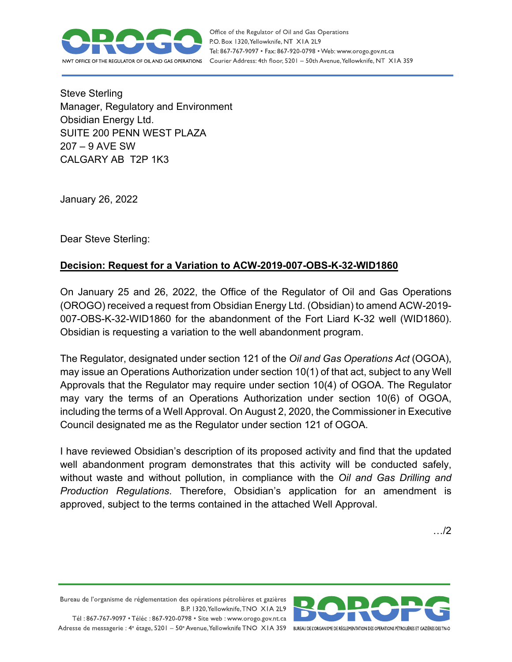

Office of the Regulator of Oil and Gas Operations P.O. Box 1320, Yellowknife, NT XIA 2L9 Tel: 867-767-9097 • Fax: 867-920-0798 • Web: www.orogo.gov.nt.ca Courier Address: 4th floor, 5201 - 50th Avenue, Yellowknife, NT XIA 3S9

Steve Sterling Manager, Regulatory and Environment Obsidian Energy Ltd. SUITE 200 PENN WEST PLAZA 207 – 9 AVE SW CALGARY AB T2P 1K3

January 26, 2022

Dear Steve Sterling:

## **Decision: Request for a Variation to ACW-2019-007-OBS-K-32-WID1860**

On January 25 and 26, 2022, the Office of the Regulator of Oil and Gas Operations (OROGO) received a request from Obsidian Energy Ltd. (Obsidian) to amend ACW-2019- 007-OBS-K-32-WID1860 for the abandonment of the Fort Liard K-32 well (WID1860). Obsidian is requesting a variation to the well abandonment program.

The Regulator, designated under section 121 of the *Oil and Gas Operations Act* (OGOA), may issue an Operations Authorization under section 10(1) of that act, subject to any Well Approvals that the Regulator may require under section 10(4) of OGOA. The Regulator may vary the terms of an Operations Authorization under section 10(6) of OGOA, including the terms of a Well Approval. On August 2, 2020, the Commissioner in Executive Council designated me as the Regulator under section 121 of OGOA.

I have reviewed Obsidian's description of its proposed activity and find that the updated well abandonment program demonstrates that this activity will be conducted safely, without waste and without pollution, in compliance with the *Oil and Gas Drilling and Production Regulations*. Therefore, Obsidian's application for an amendment is approved, subject to the terms contained in the attached Well Approval.

…/2

Bureau de l'organisme de réglementation des opérations pétrolières et gazières B.P. 1320, Yellowknife, TNO XIA 2L9 Tél: 867-767-9097 • Téléc: 867-920-0798 • Site web: www.orogo.gov.nt.ca

Adresse de messagerie : 4<sup>e</sup> étage, 5201 - 50° Avenue, Yellowknife TNO XIA 3S9 BUREAU DE L'ORGANISME DE RÉGLEMENTATION DES OPERATIONS PÉTROLIÈRES ET GAZIÈRES DESTNO

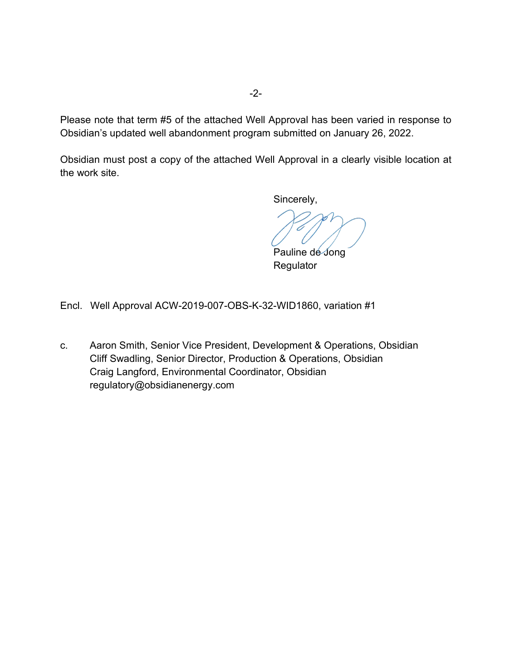Please note that term #5 of the attached Well Approval has been varied in response to Obsidian's updated well abandonment program submitted on January 26, 2022.

Obsidian must post a copy of the attached Well Approval in a clearly visible location at the work site.

Sincerely,

Pauline de Jong Regulator

Encl. Well Approval ACW-2019-007-OBS-K-32-WID1860, variation #1

c. Aaron Smith, Senior Vice President, Development & Operations, Obsidian Cliff Swadling, Senior Director, Production & Operations, Obsidian Craig Langford, Environmental Coordinator, Obsidian regulatory@obsidianenergy.com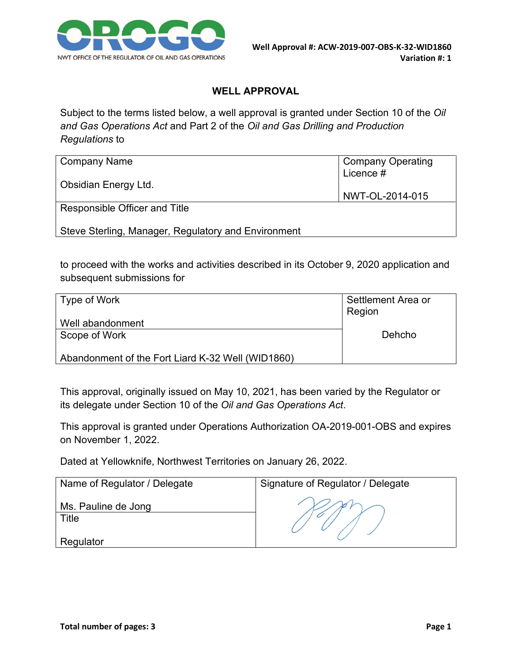

## **WELL APPROVAL**

Subject to the terms listed below, a well approval is granted under Section 10 of the *Oil and Gas Operations Act* and Part 2 of the *Oil and Gas Drilling and Production Regulations* to

| Company Name                                        | <b>Company Operating</b><br>Licence # |
|-----------------------------------------------------|---------------------------------------|
| Obsidian Energy Ltd.                                | NWT-OL-2014-015                       |
| Responsible Officer and Title                       |                                       |
| Steve Sterling, Manager, Regulatory and Environment |                                       |

to proceed with the works and activities described in its October 9, 2020 application and subsequent submissions for

| Type of Work                                      | Settlement Area or<br>Region |
|---------------------------------------------------|------------------------------|
| Well abandonment                                  |                              |
| Scope of Work                                     | Dehcho                       |
| Abandonment of the Fort Liard K-32 Well (WID1860) |                              |

This approval, originally issued on May 10, 2021, has been varied by the Regulator or its delegate under Section 10 of the *Oil and Gas Operations Act*.

This approval is granted under Operations Authorization OA-2019-001-OBS and expires on November 1, 2022.

Dated at Yellowknife, Northwest Territories on January 26, 2022.

| Name of Regulator / Delegate | Signature of Regulator / Delegate |
|------------------------------|-----------------------------------|
| Ms. Pauline de Jong<br>Title |                                   |
| Regulator                    |                                   |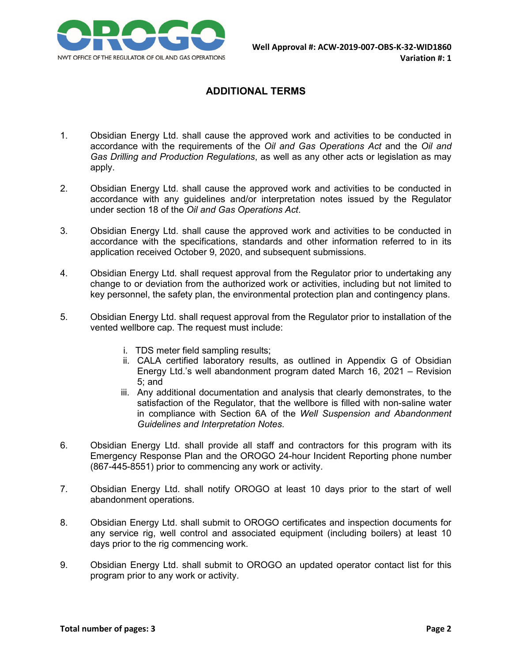

## **ADDITIONAL TERMS**

- 1. Obsidian Energy Ltd. shall cause the approved work and activities to be conducted in accordance with the requirements of the *Oil and Gas Operations Act* and the *Oil and Gas Drilling and Production Regulations*, as well as any other acts or legislation as may apply.
- 2. Obsidian Energy Ltd. shall cause the approved work and activities to be conducted in accordance with any guidelines and/or interpretation notes issued by the Regulator under section 18 of the *Oil and Gas Operations Act*.
- 3. Obsidian Energy Ltd. shall cause the approved work and activities to be conducted in accordance with the specifications, standards and other information referred to in its application received October 9, 2020, and subsequent submissions.
- 4. Obsidian Energy Ltd. shall request approval from the Regulator prior to undertaking any change to or deviation from the authorized work or activities, including but not limited to key personnel, the safety plan, the environmental protection plan and contingency plans.
- 5. Obsidian Energy Ltd. shall request approval from the Regulator prior to installation of the vented wellbore cap. The request must include:
	- i. TDS meter field sampling results;
	- ii. CALA certified laboratory results, as outlined in Appendix G of Obsidian Energy Ltd.'s well abandonment program dated March 16, 2021 – Revision 5; and
	- iii. Any additional documentation and analysis that clearly demonstrates, to the satisfaction of the Regulator, that the wellbore is filled with non-saline water in compliance with Section 6A of the *Well Suspension and Abandonment Guidelines and Interpretation Notes*.
- 6. Obsidian Energy Ltd. shall provide all staff and contractors for this program with its Emergency Response Plan and the OROGO 24-hour Incident Reporting phone number (867-445-8551) prior to commencing any work or activity.
- 7. Obsidian Energy Ltd. shall notify OROGO at least 10 days prior to the start of well abandonment operations.
- 8. Obsidian Energy Ltd. shall submit to OROGO certificates and inspection documents for any service rig, well control and associated equipment (including boilers) at least 10 days prior to the rig commencing work.
- 9. Obsidian Energy Ltd. shall submit to OROGO an updated operator contact list for this program prior to any work or activity.